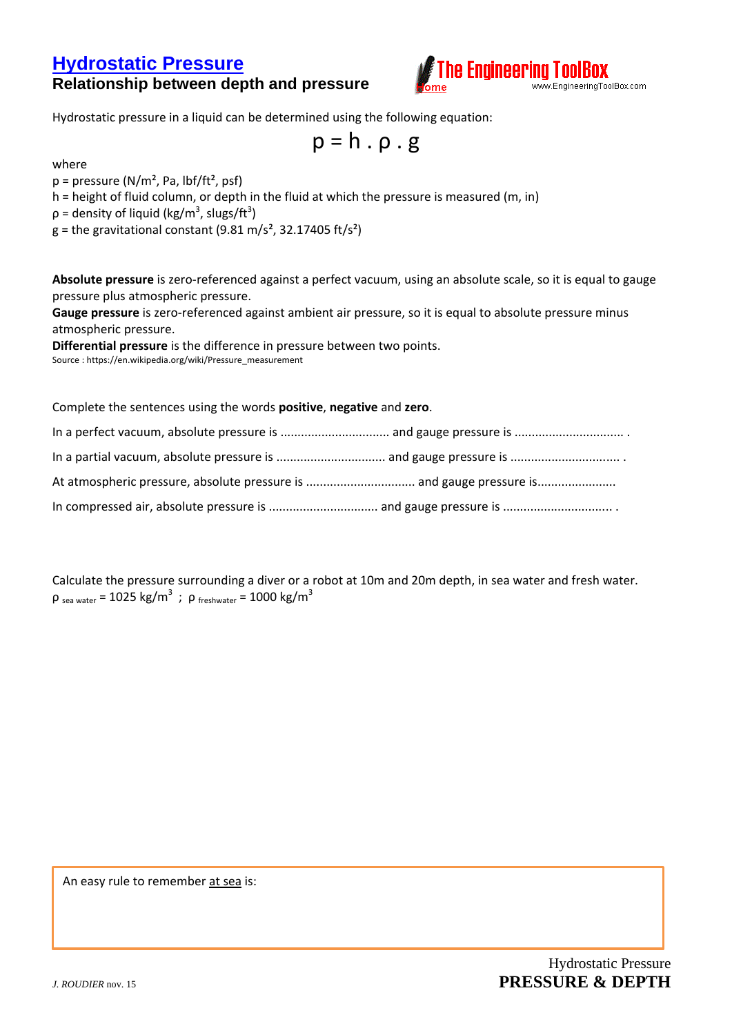## **[Hydrostatic Pressure](http://www.engineeringtoolbox.com/hydrostatic-pressure-water-d_1632.html)  Relationship between depth and pressure**



Hydrostatic pressure in a liquid can be determined using the following equation:

 $p = h \cdot \rho \cdot g$ 

where

 $p = pressure (N/m<sup>2</sup>, Pa, lbf/ft<sup>2</sup>, psf)$ 

h = height of fluid column, or depth in the fluid at which the pressure is measured (m, in)

 $p =$  density of liquid (kg/m<sup>3</sup>, slugs/ft<sup>3</sup>)

 $g =$  the gravitational constant (9.81 m/s<sup>2</sup>, 32.17405 ft/s<sup>2</sup>)

**Absolute pressure** is zero-referenced against a perfect vacuum, using an absolute scale, so it is equal to gauge pressure plus atmospheric pressure.

**Gauge pressure** is zero-referenced against ambient air pressure, so it is equal to absolute pressure minus atmospheric pressure.

**Differential pressure** is the difference in pressure between two points.

Source : https://en.wikipedia.org/wiki/Pressure\_measurement

Complete the sentences using the words **positive**, **negative** and **zero**.

Calculate the pressure surrounding a diver or a robot at 10m and 20m depth, in sea water and fresh water. ρ <sub>sea water</sub> = 1025 kg/m<sup>3</sup> ; ρ <sub>freshwater</sub> = 1000 kg/m<sup>3</sup>

An easy rule to remember at sea is: